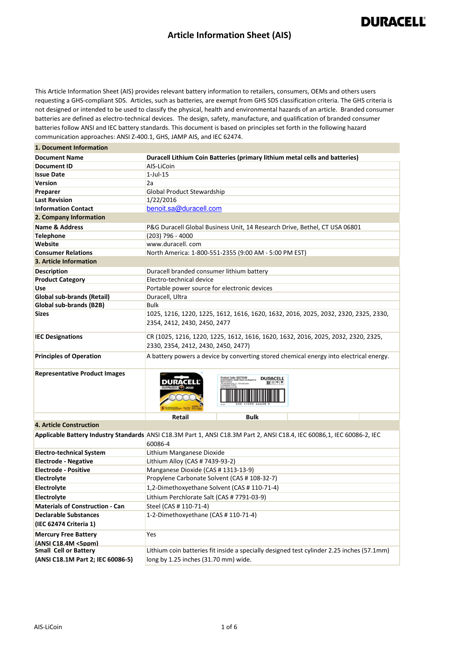#### **Article Information Sheet (AIS)**

**DURACELL®** 

 This Article Information Sheet (AIS) provides relevant battery information to retailers, consumers, OEMs and others users requesting a GHS-compliant SDS. Articles, such as batteries, are exempt from GHS SDS classification criteria. The GHS criteria is not designed or intended to be used to classify the physical, health and environmental hazards of an article. Branded consumer batteries are defined as electro-technical devices. The design, safety, manufacture, and qualification of branded consumer batteries follow ANSI and IEC battery standards. This document is based on principles set forth in the following hazard communication approaches: ANSI Z-400.1, GHS, JAMP AIS, and IEC 62474.

| 1. Document Information                            |                                                                                                                         |
|----------------------------------------------------|-------------------------------------------------------------------------------------------------------------------------|
| <b>Document Name</b>                               | Duracell Lithium Coin Batteries (primary lithium metal cells and batteries)                                             |
| Document ID                                        | AIS-LiCoin                                                                                                              |
| <b>Issue Date</b>                                  | $1$ -Jul- $15$                                                                                                          |
| <b>Version</b>                                     | 2a                                                                                                                      |
| Preparer                                           | <b>Global Product Stewardship</b>                                                                                       |
| <b>Last Revision</b>                               | 1/22/2016                                                                                                               |
| <b>Information Contact</b>                         | benoit.sa@duracell.com                                                                                                  |
| 2. Company Information                             |                                                                                                                         |
| <b>Name &amp; Address</b>                          | P&G Duracell Global Business Unit, 14 Research Drive, Bethel, CT USA 06801                                              |
| <b>Telephone</b>                                   | $(203)$ 796 - 4000                                                                                                      |
| Website                                            | www.duracell.com                                                                                                        |
| <b>Consumer Relations</b>                          | North America: 1-800-551-2355 (9:00 AM - 5:00 PM EST)                                                                   |
| 3. Article Information                             |                                                                                                                         |
| <b>Description</b>                                 | Duracell branded consumer lithium battery                                                                               |
| <b>Product Category</b>                            | Electro-technical device                                                                                                |
| Use                                                | Portable power source for electronic devices                                                                            |
| <b>Global sub-brands (Retail)</b>                  | Duracell, Ultra                                                                                                         |
| Global sub-brands (B2B)                            | <b>Bulk</b>                                                                                                             |
| <b>Sizes</b>                                       | 1025, 1216, 1220, 1225, 1612, 1616, 1620, 1632, 2016, 2025, 2032, 2320, 2325, 2330,                                     |
|                                                    | 2354, 2412, 2430, 2450, 2477                                                                                            |
|                                                    |                                                                                                                         |
| <b>IEC Designations</b>                            | CR (1025, 1216, 1220, 1225, 1612, 1616, 1620, 1632, 2016, 2025, 2032, 2320, 2325,                                       |
|                                                    | 2330, 2354, 2412, 2430, 2450, 2477)                                                                                     |
| <b>Principles of Operation</b>                     | A battery powers a device by converting stored chemical energy into electrical energy.                                  |
|                                                    |                                                                                                                         |
| <b>Representative Product Images</b>               | <b>Juct Code: 80275049</b><br><b>DURACELL</b>                                                                           |
|                                                    |                                                                                                                         |
|                                                    | <b>Retail</b><br><b>Bulk</b>                                                                                            |
| <b>4. Article Construction</b>                     |                                                                                                                         |
|                                                    | Applicable Battery Industry Standards ANSI C18.3M Part 1, ANSI C18.3M Part 2, ANSI C18.4, IEC 60086,1, IEC 60086-2, IEC |
|                                                    | 60086-4                                                                                                                 |
| <b>Electro-technical System</b>                    | Lithium Manganese Dioxide                                                                                               |
| <b>Electrode - Negative</b>                        | Lithium Alloy (CAS # 7439-93-2)                                                                                         |
| <b>Electrode - Positive</b>                        | Manganese Dioxide (CAS #1313-13-9)                                                                                      |
| Electrolyte                                        | Propylene Carbonate Solvent (CAS # 108-32-7)                                                                            |
| Electrolyte                                        | 1,2-Dimethoxyethane Solvent (CAS # 110-71-4)                                                                            |
| Electrolyte                                        | Lithium Perchlorate Salt (CAS # 7791-03-9)                                                                              |
| <b>Materials of Construction - Can</b>             | Steel (CAS # 110-71-4)                                                                                                  |
| <b>Declarable Substances</b>                       | 1-2-Dimethoxyethane (CAS # 110-71-4)                                                                                    |
| (IEC 62474 Criteria 1)                             |                                                                                                                         |
|                                                    | Yes                                                                                                                     |
| <b>Mercury Free Battery</b><br>(ANSI C18.4M <5ppm) |                                                                                                                         |
| <b>Small Cell or Battery</b>                       | Lithium coin batteries fit inside a specially designed test cylinder 2.25 inches (57.1mm)                               |
|                                                    |                                                                                                                         |

 **(ANSI C18.1M Part 2; IEC 60086-5)** 

long by 1.25 inches (31.70 mm) wide.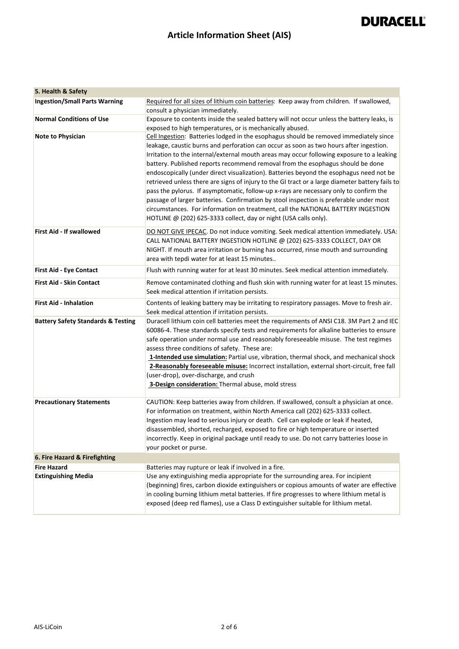### **Article Information Sheet (AIS)**

#### **5. Health & Safety**

| <b>Ingestion/Small Parts Warning</b>          | Required for all sizes of lithium coin batteries: Keep away from children. If swallowed,                                             |
|-----------------------------------------------|--------------------------------------------------------------------------------------------------------------------------------------|
| <b>Normal Conditions of Use</b>               | consult a physician immediately.<br>Exposure to contents inside the sealed battery will not occur unless the battery leaks, is       |
|                                               | exposed to high temperatures, or is mechanically abused.                                                                             |
| <b>Note to Physician</b>                      | Cell Ingestion: Batteries lodged in the esophagus should be removed immediately since                                                |
|                                               | leakage, caustic burns and perforation can occur as soon as two hours after ingestion.                                               |
|                                               | Irritation to the internal/external mouth areas may occur following exposure to a leaking                                            |
|                                               | battery. Published reports recommend removal from the esophagus should be done                                                       |
|                                               | endoscopically (under direct visualization). Batteries beyond the esophagus need not be                                              |
|                                               | retrieved unless there are signs of injury to the GI tract or a large diameter battery fails to                                      |
|                                               | pass the pylorus. If asymptomatic, follow-up x-rays are necessary only to confirm the                                                |
|                                               | passage of larger batteries. Confirmation by stool inspection is preferable under most                                               |
|                                               | circumstances. For information on treatment, call the NATIONAL BATTERY INGESTION                                                     |
|                                               | HOTLINE @ (202) 625-3333 collect, day or night (USA calls only).                                                                     |
| <b>First Aid - If swallowed</b>               | DO NOT GIVE IPECAC. Do not induce vomiting. Seek medical attention immediately. USA:                                                 |
|                                               | CALL NATIONAL BATTERY INGESTION HOTLINE @ (202) 625-3333 COLLECT, DAY OR                                                             |
|                                               | NIGHT. If mouth area irritation or burning has occurred, rinse mouth and surrounding                                                 |
|                                               | area with tepdi water for at least 15 minutes                                                                                        |
| <b>First Aid - Eye Contact</b>                | Flush with running water for at least 30 minutes. Seek medical attention immediately.                                                |
| <b>First Aid - Skin Contact</b>               | Remove contaminated clothing and flush skin with running water for at least 15 minutes.                                              |
|                                               | Seek medical attention if irritation persists.                                                                                       |
| <b>First Aid - Inhalation</b>                 | Contents of leaking battery may be irritating to respiratory passages. Move to fresh air.                                            |
|                                               | Seek medical attention if irritation persists.                                                                                       |
| <b>Battery Safety Standards &amp; Testing</b> | Duracell lithium coin cell batteries meet the requirements of ANSI C18. 3M Part 2 and IEC                                            |
|                                               | 60086-4. These standards specify tests and requirements for alkaline batteries to ensure                                             |
|                                               | safe operation under normal use and reasonably foreseeable misuse. The test regimes<br>assess three conditions of safety. These are: |
|                                               | 1-Intended use simulation: Partial use, vibration, thermal shock, and mechanical shock                                               |
|                                               | 2-Reasonably foreseeable misuse: Incorrect installation, external short-circuit, free fall                                           |
|                                               | (user-drop), over-discharge, and crush                                                                                               |
|                                               | 3-Design consideration: Thermal abuse, mold stress                                                                                   |
|                                               |                                                                                                                                      |
| <b>Precautionary Statements</b>               | CAUTION: Keep batteries away from children. If swallowed, consult a physician at once.                                               |
|                                               | For information on treatment, within North America call (202) 625-3333 collect.                                                      |
|                                               | Ingestion may lead to serious injury or death. Cell can explode or leak if heated,                                                   |
|                                               | disassembled, shorted, recharged, exposed to fire or high temperature or inserted                                                    |
|                                               | incorrectly. Keep in original package until ready to use. Do not carry batteries loose in<br>your pocket or purse.                   |
| 6. Fire Hazard & Firefighting                 |                                                                                                                                      |
| <b>Fire Hazard</b>                            | Batteries may rupture or leak if involved in a fire.                                                                                 |
| <b>Extinguishing Media</b>                    | Use any extinguishing media appropriate for the surrounding area. For incipient                                                      |
|                                               | (beginning) fires, carbon dioxide extinguishers or copious amounts of water are effective                                            |
|                                               | in cooling burning lithium metal batteries. If fire progresses to where lithium metal is                                             |
|                                               | exposed (deep red flames), use a Class D extinguisher suitable for lithium metal.                                                    |
|                                               |                                                                                                                                      |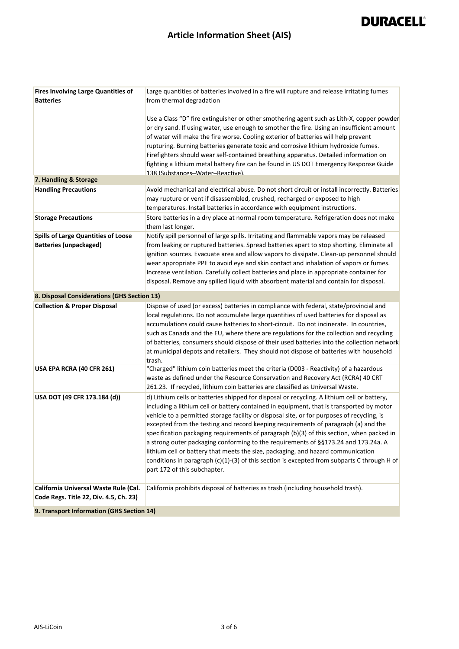### **Article Information Sheet (AIS)**

| <b>Fires Involving Large Quantities of</b><br><b>Batteries</b>                  | Large quantities of batteries involved in a fire will rupture and release irritating fumes<br>from thermal degradation                                                                                                                                                                                                                                                                                                                                                                                                                                                                                                                                                                                                                                                           |
|---------------------------------------------------------------------------------|----------------------------------------------------------------------------------------------------------------------------------------------------------------------------------------------------------------------------------------------------------------------------------------------------------------------------------------------------------------------------------------------------------------------------------------------------------------------------------------------------------------------------------------------------------------------------------------------------------------------------------------------------------------------------------------------------------------------------------------------------------------------------------|
|                                                                                 | Use a Class "D" fire extinguisher or other smothering agent such as Lith-X, copper powder<br>or dry sand. If using water, use enough to smother the fire. Using an insufficient amount<br>of water will make the fire worse. Cooling exterior of batteries will help prevent<br>rupturing. Burning batteries generate toxic and corrosive lithium hydroxide fumes.<br>Firefighters should wear self-contained breathing apparatus. Detailed information on<br>fighting a lithium metal battery fire can be found in US DOT Emergency Response Guide<br>138 (Substances-Water-Reactive).                                                                                                                                                                                          |
| 7. Handling & Storage                                                           |                                                                                                                                                                                                                                                                                                                                                                                                                                                                                                                                                                                                                                                                                                                                                                                  |
| <b>Handling Precautions</b>                                                     | Avoid mechanical and electrical abuse. Do not short circuit or install incorrectly. Batteries<br>may rupture or vent if disassembled, crushed, recharged or exposed to high<br>temperatures. Install batteries in accordance with equipment instructions.                                                                                                                                                                                                                                                                                                                                                                                                                                                                                                                        |
| <b>Storage Precautions</b>                                                      | Store batteries in a dry place at normal room temperature. Refrigeration does not make<br>them last longer.                                                                                                                                                                                                                                                                                                                                                                                                                                                                                                                                                                                                                                                                      |
| <b>Spills of Large Quantities of Loose</b><br><b>Batteries (unpackaged)</b>     | Notify spill personnel of large spills. Irritating and flammable vapors may be released<br>from leaking or ruptured batteries. Spread batteries apart to stop shorting. Eliminate all<br>ignition sources. Evacuate area and allow vapors to dissipate. Clean-up personnel should<br>wear appropriate PPE to avoid eye and skin contact and inhalation of vapors or fumes.<br>Increase ventilation. Carefully collect batteries and place in appropriate container for<br>disposal. Remove any spilled liquid with absorbent material and contain for disposal.                                                                                                                                                                                                                  |
| 8. Disposal Considerations (GHS Section 13)                                     |                                                                                                                                                                                                                                                                                                                                                                                                                                                                                                                                                                                                                                                                                                                                                                                  |
| <b>Collection &amp; Proper Disposal</b>                                         | Dispose of used (or excess) batteries in compliance with federal, state/provincial and<br>local regulations. Do not accumulate large quantities of used batteries for disposal as<br>accumulations could cause batteries to short-circuit. Do not incinerate. In countries,<br>such as Canada and the EU, where there are regulations for the collection and recycling<br>of batteries, consumers should dispose of their used batteries into the collection network<br>at municipal depots and retailers. They should not dispose of batteries with household<br>trash.                                                                                                                                                                                                         |
| USA EPA RCRA (40 CFR 261)                                                       | "Charged" lithium coin batteries meet the criteria (D003 - Reactivity) of a hazardous<br>waste as defined under the Resource Conservation and Recovery Act (RCRA) 40 CRT<br>261.23. If recycled, lithium coin batteries are classified as Universal Waste.                                                                                                                                                                                                                                                                                                                                                                                                                                                                                                                       |
| USA DOT (49 CFR 173.184 (d))                                                    | d) Lithium cells or batteries shipped for disposal or recycling. A lithium cell or battery,<br>including a lithium cell or battery contained in equipment, that is transported by motor<br>vehicle to a permitted storage facility or disposal site, or for purposes of recycling, is<br>excepted from the testing and record keeping requirements of paragraph (a) and the<br>specification packaging requirements of paragraph (b)(3) of this section, when packed in<br>a strong outer packaging conforming to the requirements of §§173.24 and 173.24a. A<br>lithium cell or battery that meets the size, packaging, and hazard communication<br>conditions in paragraph (c)(1)-(3) of this section is excepted from subparts C through H of<br>part 172 of this subchapter. |
| California Universal Waste Rule (Cal.<br>Code Regs. Title 22, Div. 4.5, Ch. 23) | California prohibits disposal of batteries as trash (including household trash).                                                                                                                                                                                                                                                                                                                                                                                                                                                                                                                                                                                                                                                                                                 |
| 9. Transport Information (GHS Section 14)                                       |                                                                                                                                                                                                                                                                                                                                                                                                                                                                                                                                                                                                                                                                                                                                                                                  |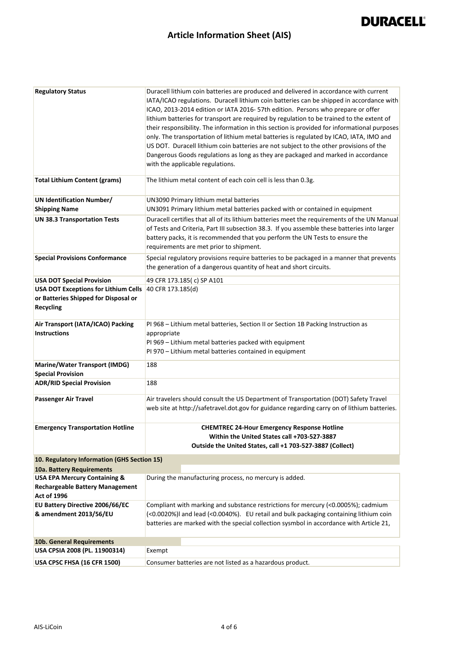### **Article Information Sheet (AIS)**

| <b>Regulatory Status</b>                                                                                | Duracell lithium coin batteries are produced and delivered in accordance with current<br>IATA/ICAO regulations. Duracell lithium coin batteries can be shipped in accordance with<br>ICAO, 2013-2014 edition or IATA 2016-57th edition. Persons who prepare or offer<br>lithium batteries for transport are required by regulation to be trained to the extent of<br>their responsibility. The information in this section is provided for informational purposes<br>only. The transportation of lithium metal batteries is regulated by ICAO, IATA, IMO and<br>US DOT. Duracell lithium coin batteries are not subject to the other provisions of the<br>Dangerous Goods regulations as long as they are packaged and marked in accordance<br>with the applicable regulations. |
|---------------------------------------------------------------------------------------------------------|---------------------------------------------------------------------------------------------------------------------------------------------------------------------------------------------------------------------------------------------------------------------------------------------------------------------------------------------------------------------------------------------------------------------------------------------------------------------------------------------------------------------------------------------------------------------------------------------------------------------------------------------------------------------------------------------------------------------------------------------------------------------------------|
| <b>Total Lithium Content (grams)</b>                                                                    | The lithium metal content of each coin cell is less than 0.3g.                                                                                                                                                                                                                                                                                                                                                                                                                                                                                                                                                                                                                                                                                                                  |
| <b>UN Identification Number/</b>                                                                        | UN3090 Primary lithium metal batteries                                                                                                                                                                                                                                                                                                                                                                                                                                                                                                                                                                                                                                                                                                                                          |
| <b>Shipping Name</b>                                                                                    | UN3091 Primary lithium metal batteries packed with or contained in equipment                                                                                                                                                                                                                                                                                                                                                                                                                                                                                                                                                                                                                                                                                                    |
| <b>UN 38.3 Transportation Tests</b>                                                                     | Duracell certifies that all of its lithium batteries meet the requirements of the UN Manual<br>of Tests and Criteria, Part III subsection 38.3. If you assemble these batteries into larger<br>battery packs, it is recommended that you perform the UN Tests to ensure the<br>requirements are met prior to shipment.                                                                                                                                                                                                                                                                                                                                                                                                                                                          |
| <b>Special Provisions Conformance</b>                                                                   | Special regulatory provisions require batteries to be packaged in a manner that prevents<br>the generation of a dangerous quantity of heat and short circuits.                                                                                                                                                                                                                                                                                                                                                                                                                                                                                                                                                                                                                  |
| <b>USA DOT Special Provision</b>                                                                        | 49 CFR 173.185(c) SP A101                                                                                                                                                                                                                                                                                                                                                                                                                                                                                                                                                                                                                                                                                                                                                       |
| <b>USA DOT Exceptions for Lithium Cells</b>                                                             | 40 CFR 173.185(d)                                                                                                                                                                                                                                                                                                                                                                                                                                                                                                                                                                                                                                                                                                                                                               |
| or Batteries Shipped for Disposal or<br><b>Recycling</b>                                                |                                                                                                                                                                                                                                                                                                                                                                                                                                                                                                                                                                                                                                                                                                                                                                                 |
| Air Transport (IATA/ICAO) Packing                                                                       | PI 968 - Lithium metal batteries, Section II or Section 1B Packing Instruction as                                                                                                                                                                                                                                                                                                                                                                                                                                                                                                                                                                                                                                                                                               |
| <b>Instructions</b>                                                                                     | appropriate<br>PI 969 - Lithium metal batteries packed with equipment<br>PI 970 - Lithium metal batteries contained in equipment                                                                                                                                                                                                                                                                                                                                                                                                                                                                                                                                                                                                                                                |
| <b>Marine/Water Transport (IMDG)</b><br><b>Special Provision</b>                                        | 188                                                                                                                                                                                                                                                                                                                                                                                                                                                                                                                                                                                                                                                                                                                                                                             |
| <b>ADR/RID Special Provision</b>                                                                        | 188                                                                                                                                                                                                                                                                                                                                                                                                                                                                                                                                                                                                                                                                                                                                                                             |
| <b>Passenger Air Travel</b>                                                                             | Air travelers should consult the US Department of Transportation (DOT) Safety Travel<br>web site at http://safetravel.dot.gov for guidance regarding carry on of lithium batteries.                                                                                                                                                                                                                                                                                                                                                                                                                                                                                                                                                                                             |
| <b>Emergency Transportation Hotline</b>                                                                 | <b>CHEMTREC 24-Hour Emergency Response Hotline</b><br>Within the United States call +703-527-3887<br>Outside the United States, call +1 703-527-3887 (Collect)                                                                                                                                                                                                                                                                                                                                                                                                                                                                                                                                                                                                                  |
| 10. Regulatory Information (GHS Section 15)                                                             |                                                                                                                                                                                                                                                                                                                                                                                                                                                                                                                                                                                                                                                                                                                                                                                 |
| 10a. Battery Requirements                                                                               |                                                                                                                                                                                                                                                                                                                                                                                                                                                                                                                                                                                                                                                                                                                                                                                 |
| <b>USA EPA Mercury Containing &amp;</b><br><b>Rechargeable Battery Management</b><br><b>Act of 1996</b> | During the manufacturing process, no mercury is added.                                                                                                                                                                                                                                                                                                                                                                                                                                                                                                                                                                                                                                                                                                                          |
| EU Battery Directive 2006/66/EC<br>& amendment 2013/56/EU                                               | Compliant with marking and substance restrictions for mercury (<0.0005%); cadmium<br>(<0.0020%)I and lead (<0.0040%). EU retail and bulk packaging containing lithium coin                                                                                                                                                                                                                                                                                                                                                                                                                                                                                                                                                                                                      |
|                                                                                                         | batteries are marked with the special collection sysmbol in accordance with Article 21,                                                                                                                                                                                                                                                                                                                                                                                                                                                                                                                                                                                                                                                                                         |
| 10b. General Requirements                                                                               |                                                                                                                                                                                                                                                                                                                                                                                                                                                                                                                                                                                                                                                                                                                                                                                 |
| USA CPSIA 2008 (PL. 11900314)                                                                           | Exempt                                                                                                                                                                                                                                                                                                                                                                                                                                                                                                                                                                                                                                                                                                                                                                          |
| USA CPSC FHSA (16 CFR 1500)                                                                             | Consumer batteries are not listed as a hazardous product.                                                                                                                                                                                                                                                                                                                                                                                                                                                                                                                                                                                                                                                                                                                       |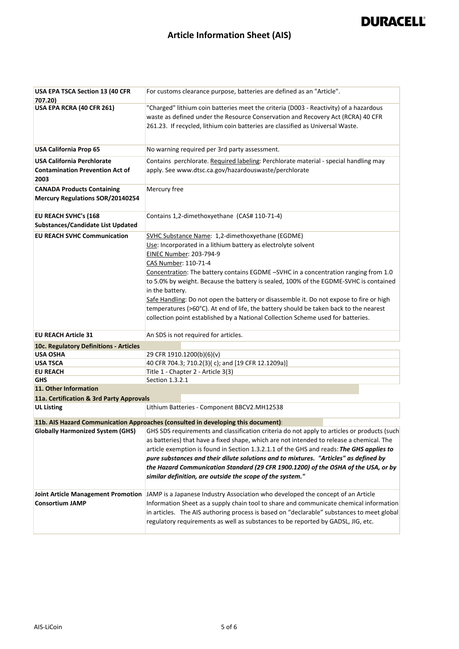### **Article Information Sheet (AIS)**

| <b>USA EPA TSCA Section 13 (40 CFR</b><br>707.20)                                   | For customs clearance purpose, batteries are defined as an "Article".                                                                                                                                                                                                                                                                                                                                                                                                                                                                                                                                                                           |
|-------------------------------------------------------------------------------------|-------------------------------------------------------------------------------------------------------------------------------------------------------------------------------------------------------------------------------------------------------------------------------------------------------------------------------------------------------------------------------------------------------------------------------------------------------------------------------------------------------------------------------------------------------------------------------------------------------------------------------------------------|
| USA EPA RCRA (40 CFR 261)                                                           | "Charged" lithium coin batteries meet the criteria (D003 - Reactivity) of a hazardous<br>waste as defined under the Resource Conservation and Recovery Act (RCRA) 40 CFR<br>261.23. If recycled, lithium coin batteries are classified as Universal Waste.                                                                                                                                                                                                                                                                                                                                                                                      |
| <b>USA California Prop 65</b>                                                       | No warning required per 3rd party assessment.                                                                                                                                                                                                                                                                                                                                                                                                                                                                                                                                                                                                   |
| <b>USA California Perchlorate</b><br><b>Contamination Prevention Act of</b><br>2003 | Contains perchlorate. Required labeling: Perchlorate material - special handling may<br>apply. See www.dtsc.ca.gov/hazardouswaste/perchlorate                                                                                                                                                                                                                                                                                                                                                                                                                                                                                                   |
| <b>CANADA Products Containing</b><br><b>Mercury Regulations SOR/20140254</b>        | Mercury free                                                                                                                                                                                                                                                                                                                                                                                                                                                                                                                                                                                                                                    |
| EU REACH SVHC's (168<br><b>Substances/Candidate List Updated</b>                    | Contains 1,2-dimethoxyethane (CAS# 110-71-4)                                                                                                                                                                                                                                                                                                                                                                                                                                                                                                                                                                                                    |
| <b>EU REACH SVHC Communication</b>                                                  | SVHC Substance Name: 1,2-dimethoxyethane (EGDME)<br>Use: Incorporated in a lithium battery as electrolyte solvent<br>EINEC Number: 203-794-9<br>CAS Number: 110-71-4<br>Concentration: The battery contains EGDME -SVHC in a concentration ranging from 1.0<br>to 5.0% by weight. Because the battery is sealed, 100% of the EGDME-SVHC is contained<br>in the battery.<br>Safe Handling: Do not open the battery or disassemble it. Do not expose to fire or high<br>temperatures (>60°C). At end of life, the battery should be taken back to the nearest<br>collection point established by a National Collection Scheme used for batteries. |
| <b>EU REACH Article 31</b>                                                          | An SDS is not required for articles.                                                                                                                                                                                                                                                                                                                                                                                                                                                                                                                                                                                                            |
| 10c. Regulatory Definitions - Articles                                              |                                                                                                                                                                                                                                                                                                                                                                                                                                                                                                                                                                                                                                                 |
| <b>USA OSHA</b>                                                                     | 29 CFR 1910.1200(b)(6)(v)                                                                                                                                                                                                                                                                                                                                                                                                                                                                                                                                                                                                                       |
| <b>USA TSCA</b>                                                                     | 40 CFR 704.3; 710.2(3)(c); and [19 CFR 12.1209a)]                                                                                                                                                                                                                                                                                                                                                                                                                                                                                                                                                                                               |
| <b>EU REACH</b>                                                                     | Title 1 - Chapter 2 - Article 3(3)                                                                                                                                                                                                                                                                                                                                                                                                                                                                                                                                                                                                              |
| <b>GHS</b>                                                                          | Section 1.3.2.1                                                                                                                                                                                                                                                                                                                                                                                                                                                                                                                                                                                                                                 |
| 11. Other Information                                                               |                                                                                                                                                                                                                                                                                                                                                                                                                                                                                                                                                                                                                                                 |
| 11a. Certification & 3rd Party Approvals                                            |                                                                                                                                                                                                                                                                                                                                                                                                                                                                                                                                                                                                                                                 |
| <b>UL Listing</b>                                                                   | Lithium Batteries - Component BBCV2.MH12538                                                                                                                                                                                                                                                                                                                                                                                                                                                                                                                                                                                                     |
|                                                                                     | 11b. AIS Hazard Communication Approaches (consulted in developing this document):                                                                                                                                                                                                                                                                                                                                                                                                                                                                                                                                                               |
|                                                                                     | Globally Harmonized System (GHS) GHS SDS requirements and classification criteria do not apply to articles or products (such<br>as batteries) that have a fixed shape, which are not intended to release a chemical. The<br>article exemption is found in Section 1.3.2.1.1 of the GHS and reads: The GHS applies to<br>pure substances and their dilute solutions and to mixtures. "Articles" as defined by<br>the Hazard Communication Standard (29 CFR 1900.1200) of the OSHA of the USA, or by<br>similar definition, are outside the scope of the system."                                                                                 |
| <b>Joint Article Management Promotion</b><br><b>Consortium JAMP</b>                 | JAMP is a Japanese Industry Association who developed the concept of an Article<br>Information Sheet as a supply chain tool to share and communicate chemical information<br>in articles. The AIS authoring process is based on "declarable" substances to meet global<br>regulatory requirements as well as substances to be reported by GADSL, JIG, etc.                                                                                                                                                                                                                                                                                      |